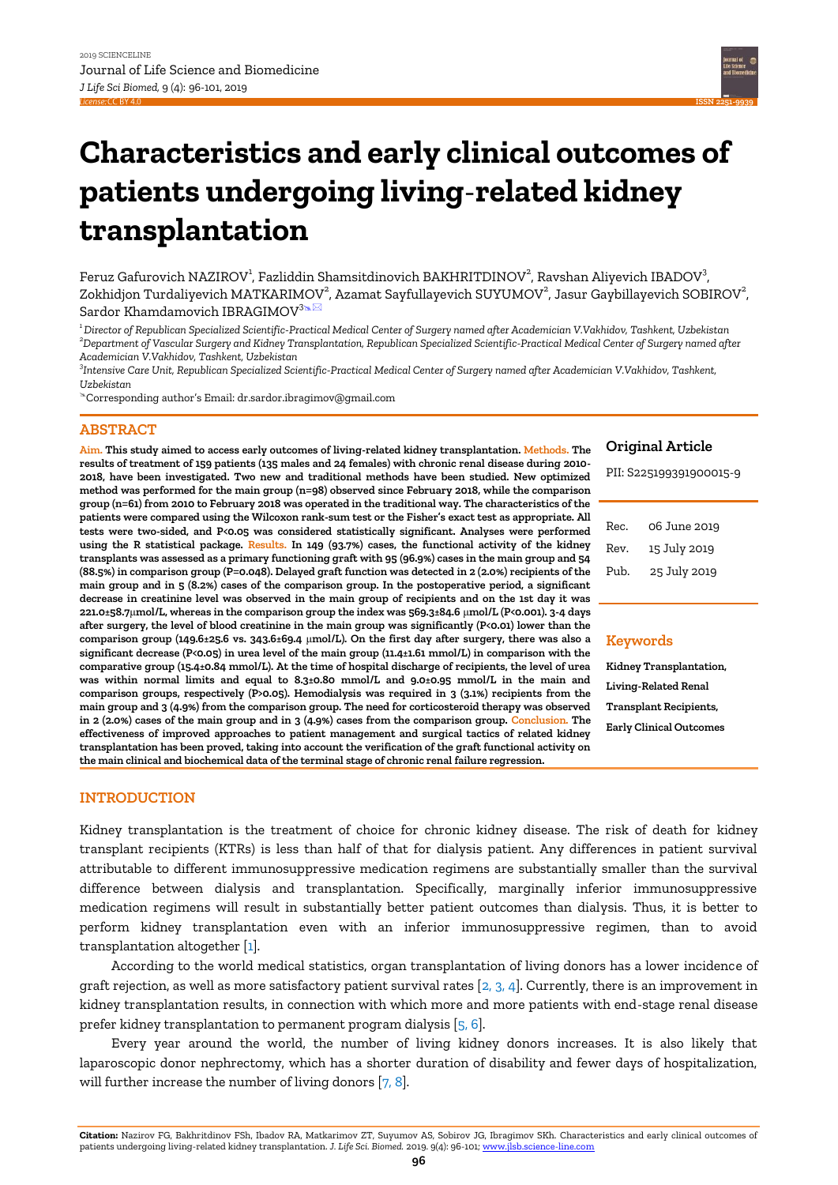**ISSN 2[251-9939](https://jlsb.science-line.com/)**

# **Characteristics and early clinical outcomes of patients undergoing living**-**related kidney transplantation**

Feruz Gafurovich NAZIROV<sup>1</sup>, Fazliddin Shamsitdinovich BAKHRITDINOV<sup>2</sup>, Ravshan Aliyevich IBADOV<sup>3</sup>, Zokhidjon Turdaliyevich MATKARIMOV $^2$ , Azamat Sayfullayevich SUYUMOV $^2$ , Jasur Gaybillayevich SOBIROV $^2$ , Sardor Khamdamovich IBRAGIMOV<sup>3</sup>™

*<sup>1</sup>Director of Republican Specialized Scientific-Practical Medical Center of Surgery named after Academician V.Vakhidov, Tashkent, Uzbekistan <sup>2</sup>Department of Vascular Surgery and Kidney Transplantation, Republican Specialized Scientific-Practical Medical Center of Surgery named after Academician V.Vakhidov, Tashkent, Uzbekistan* 

*3 Intensive Care Unit, Republican Specialized Scientific-Practical Medical Center of Surgery named after Academician V.Vakhidov, Tashkent, Uzbekistan*

Corresponding author's Email: dr.sardor.ibragimov@gmail.com

## **ABSTRACT**

**Aim. This study aimed to access early outcomes of living-related kidney transplantation. Methods. The results of treatment of 159 patients (135 males and 24 females) with chronic renal disease during 2010- 2018, have been investigated. Two new and traditional methods have been studied. New optimized method was performed for the main group (n=98) observed since February 2018, while the comparison group (n=61) from 2010 to February 2018 was operated in the traditional way. The characteristics of the patients were compared using the Wilcoxon rank-sum test or the Fisher's exact test as appropriate. All tests were two-sided, and P<0.05 was considered statistically significant. Analyses were performed using the R statistical package. Results. In 149 (93.7%) cases, the functional activity of the kidney transplants was assessed as a primary functioning graft with 95 (96.9%) cases in the main group and 54 (88.5%) in comparison group (P=0.048). Delayed graft function was detected in 2 (2.0%) recipients of the main group and in 5 (8.2%) cases of the comparison group. In the postoperative period, a significant decrease in creatinine level was observed in the main group of recipients and on the 1st day it was 221.0±58.7**μ**mol/L, whereas in the comparison group the index was 569.3±84.6** μ**mol/L (P<0.001). 3-4 days after surgery, the level of blood creatinine in the main group was significantly (P<0.01) lower than the comparison group (149.6±25.6 vs. 343.6±69.4** μ**mol/L). On the first day after surgery, there was also a significant decrease (P<0.05) in urea level of the main group (11.4±1.61 mmol/L) in comparison with the comparative group (15.4±0.84 mmol/L). At the time of hospital discharge of recipients, the level of urea was within normal limits and equal to 8.3±0.80 mmol/L and 9.0±0.95 mmol/L in the main and comparison groups, respectively (P>0.05). Hemodialysis was required in 3 (3.1%) recipients from the main group and 3 (4.9%) from the comparison group. The need for corticosteroid therapy was observed in 2 (2.0%) cases of the main group and in 3 (4.9%) cases from the comparison group. Conclusion. The effectiveness of improved approaches to patient management and surgical tactics of related kidney transplantation has been proved, taking into account the verification of the graft functional activity on the main clinical and biochemical data of the terminal stage of chronic renal failure regression.**

## **Original Article**

PII: S225199391900015-9

| 06 June 2019 |
|--------------|
| 15 July 2019 |
| 25 July 2019 |
|              |

## **Keywords**

**Kidney Transplantation, Living-Related Renal Transplant Recipients, Early Clinical Outcomes**

# **INTRODUCTION**

Kidney transplantation is the treatment of choice for chronic kidney disease. The risk of death for kidney transplant recipients (KTRs) is less than half of that for dialysis patient. Any differences in patient survival attributable to different immunosuppressive medication regimens are substantially smaller than the survival difference between dialysis and transplantation. Specifically, marginally inferior immunosuppressive medication regimens will result in substantially better patient outcomes than dialysis. Thus, it is better to perform kidney transplantation even with an inferior immunosuppressive regimen, than to avoid transplantation altogether [\[1\].](#page-5-0)

According to the world medical statistics, organ transplantation of living donors has a lower incidence of graft rejection, as well as more satisfactory patient survival rates  $[2, 3, 4]$ . Currently, there is an improvement in kidney transplantation results, in connection with which more and more patients with end-stage renal disease prefer kidney transplantation to permanent program dialysis [\[5, 6\].](#page-5-0) 

Every year around the world, the number of living kidney donors increases. It is also likely that laparoscopic donor nephrectomy, which has a shorter duration of disability and fewer days of hospitalization, will further increase the number of living donors [\[7, 8\].](#page-5-0)

**Citation:** Nazirov FG, Bakhritdinov FSh, Ibadov RA, Matkarimov ZT, Suyumov AS, Sobirov JG, Ibragimov SKh. Characteristics and early clinical outcomes of patients undergoing living-related kidney transplantation. *J. Life Sci. Biomed.* 2019. 9(4): 96-101[; www.jlsb.science-line.com](http://www.jlsb.science-line.com/)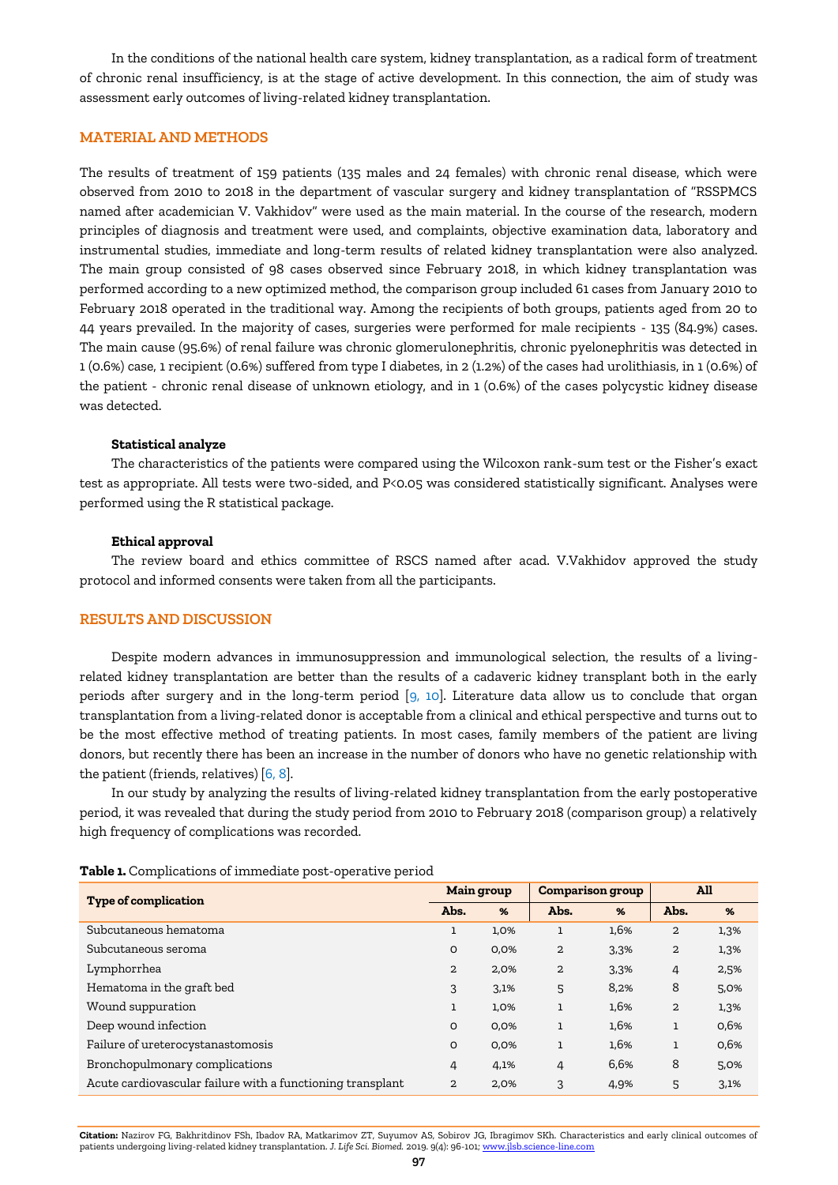In the conditions of the national health care system, kidney transplantation, as a radical form of treatment of chronic renal insufficiency, is at the stage of active development. In this connection, the aim of study was assessment early outcomes of living-related kidney transplantation.

## **MATERIAL AND METHODS**

The results of treatment of 159 patients (135 males and 24 females) with chronic renal disease, which were observed from 2010 to 2018 in the department of vascular surgery and kidney transplantation of "RSSPMCS named after academician V. Vakhidov" were used as the main material. In the course of the research, modern principles of diagnosis and treatment were used, and complaints, objective examination data, laboratory and instrumental studies, immediate and long-term results of related kidney transplantation were also analyzed. The main group consisted of 98 cases observed since February 2018, in which kidney transplantation was performed according to a new optimized method, the comparison group included 61 cases from January 2010 to February 2018 operated in the traditional way. Among the recipients of both groups, patients aged from 20 to 44 years prevailed. In the majority of cases, surgeries were performed for male recipients - 135 (84.9%) cases. The main cause (95.6%) of renal failure was chronic glomerulonephritis, chronic pyelonephritis was detected in 1 (0.6%) case, 1 recipient (0.6%) suffered from type I diabetes, in 2 (1.2%) of the cases had urolithiasis, in 1 (0.6%) of the patient - chronic renal disease of unknown etiology, and in 1 (0.6%) of the cases polycystic kidney disease was detected.

### **Statistical analyze**

The characteristics of the patients were compared using the Wilcoxon rank-sum test or the Fisher's exact test as appropriate. All tests were two-sided, and P<0.05 was considered statistically significant. Analyses were performed using the R statistical package.

#### **Ethical approval**

The review board and ethics committee of RSCS named after acad. V.Vakhidov approved the study protocol and informed consents were taken from all the participants.

#### **RESULTS AND DISCUSSION**

Despite modern advances in immunosuppression and immunological selection, the results of a livingrelated kidney transplantation are better than the results of a cadaveric kidney transplant both in the early periods after surgery and in the long-term period  $[9, 10]$ . Literature data allow us to conclude that organ transplantation from a living-related donor is acceptable from a clinical and ethical perspective and turns out to be the most effective method of treating patients. In most cases, family members of the patient are living donors, but recently there has been an increase in the number of donors who have no genetic relationship with the patient (friends, relatives) [\[6, 8\].](#page-5-0)

In our study by analyzing the results of living-related kidney transplantation from the early postoperative period, it was revealed that during the study period from 2010 to February 2018 (comparison group) a relatively high frequency of complications was recorded.

| <b>Type of complication</b>                                | <b>Main group</b> |      | <b>Comparison group</b> |      | <b>All</b>     |               |
|------------------------------------------------------------|-------------------|------|-------------------------|------|----------------|---------------|
|                                                            | Abs.              | %    | Abs.                    | %    | Abs.           | $\frac{9}{6}$ |
| Subcutaneous hematoma                                      | ı                 | 1,0% |                         | 1,6% | 2              | 1,3%          |
| Subcutaneous seroma                                        | O                 | 0,0% | $\overline{2}$          | 3,3% | $\overline{2}$ | 1,3%          |
| Lymphorrhea                                                | $\overline{2}$    | 2,0% | $\overline{2}$          | 3,3% | 4              | 2,5%          |
| Hematoma in the graft bed                                  | 3                 | 3,1% | 5                       | 8,2% | 8              | 5,0%          |
| Wound suppuration                                          |                   | 1,0% | $\mathbf{1}$            | 1,6% | 2              | 1,3%          |
| Deep wound infection                                       | O                 | 0,0% | 1                       | 1,6% | $\mathbf{1}$   | 0,6%          |
| Failure of ureterocystanastomosis                          | O                 | 0,0% | ı                       | 1,6% | 1              | 0,6%          |
| Bronchopulmonary complications                             | 4                 | 4,1% | 4                       | 6,6% | 8              | 5,0%          |
| Acute cardiovascular failure with a functioning transplant | $\overline{a}$    | 2,0% | 3                       | 4,9% | 5              | 3,1%          |

**Table 1.** Complications of immediate post-operative period

**Citation:** Nazirov FG, Bakhritdinov FSh, Ibadov RA, Matkarimov ZT, Suyumov AS, Sobirov JG, Ibragimov SKh. Characteristics and early clinical outcomes of patients undergoing living-related kidney transplantation. *J. Life Sci. Biomed.* 2019. 9(4): 96-101[; www.jlsb.science-line.com](http://www.jlsb.science-line.com/)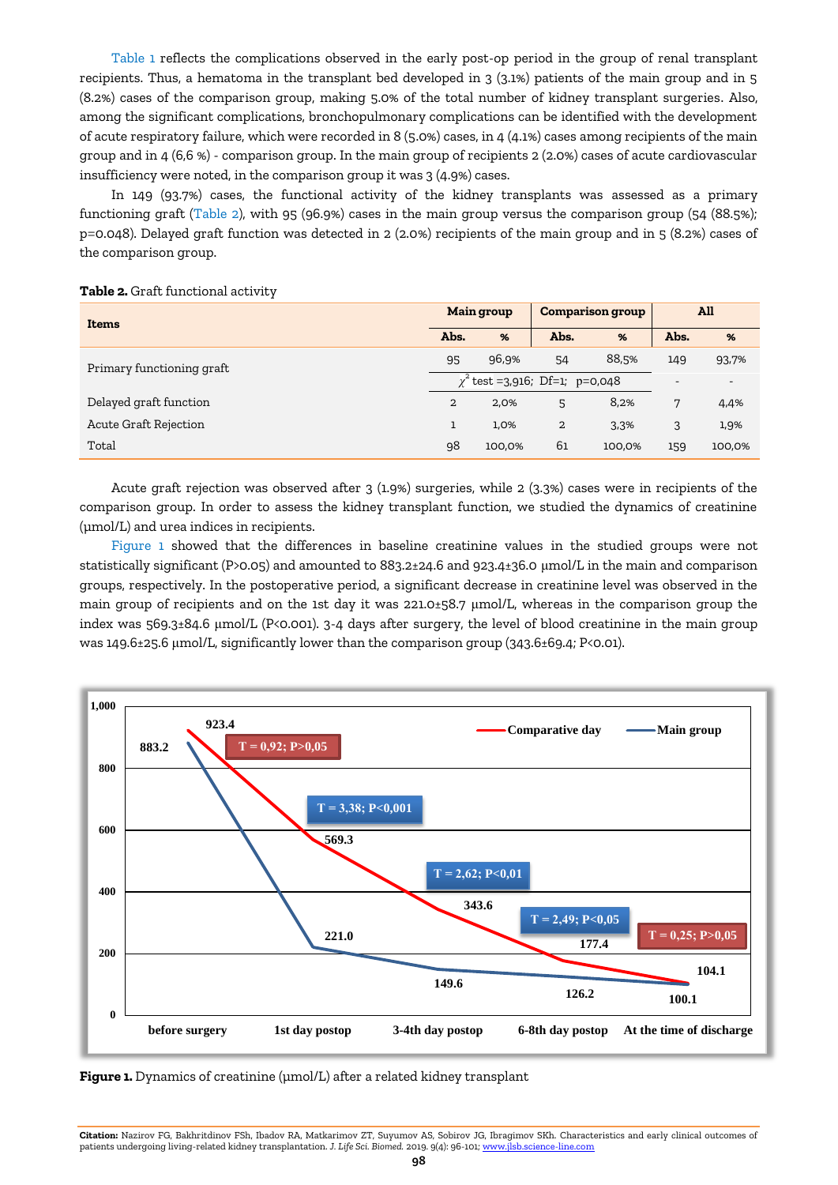Table 1 reflects the complications observed in the early post-op period in the group of renal transplant recipients. Thus, a hematoma in the transplant bed developed in 3 (3.1%) patients of the main group and in 5 (8.2%) cases of the comparison group, making 5.0% of the total number of kidney transplant surgeries. Also, among the significant complications, bronchopulmonary complications can be identified with the development of acute respiratory failure, which were recorded in 8 (5.0%) cases, in 4 (4.1%) cases among recipients of the main group and in 4 (6,6 %) - comparison group. In the main group of recipients 2 (2.0%) cases of acute cardiovascular insufficiency were noted, in the comparison group it was 3 (4.9%) cases.

In 149 (93.7%) cases, the functional activity of the kidney transplants was assessed as a primary functioning graft (Table 2), with 95 (96.9%) cases in the main group versus the comparison group (54 (88.5%); p=0.048). Delayed graft function was detected in 2 (2.0%) recipients of the main group and in 5 (8.2%) cases of the comparison group.

| Items                     | <b>Main group</b>                   |                | <b>Comparison group</b> |        | All                      |                          |
|---------------------------|-------------------------------------|----------------|-------------------------|--------|--------------------------|--------------------------|
|                           | Abs.                                | $\frac{96}{6}$ | Abs.                    | %      | Abs.                     | %                        |
| Primary functioning graft | 95                                  | 96,9%          | 54                      | 88,5%  | 149                      | 93,7%                    |
|                           | $\chi^2$ test =3,916; Df=1; p=0,048 |                |                         |        | $\overline{\phantom{0}}$ | $\overline{\phantom{a}}$ |
| Delayed graft function    | 2                                   | 2,0%           | 5                       | 8,2%   | 7                        | 4,4%                     |
| Acute Graft Rejection     |                                     | 1,0%           | $\overline{2}$          | 3,3%   | 3                        | 1,9%                     |
| Total                     | 98                                  | 100,0%         | 61                      | 100,0% | 159                      | 100,0%                   |

#### **Table 2.** Graft functional activity

Acute graft rejection was observed after 3 (1.9%) surgeries, while 2 (3.3%) cases were in recipients of the comparison group. In order to assess the kidney transplant function, we studied the dynamics of creatinine (µmol/L) and urea indices in recipients.

Figure 1 showed that the differences in baseline creatinine values in the studied groups were not statistically significant (P>0.05) and amounted to 883.2±24.6 and 923.4±36.0 μmol/L in the main and comparison groups, respectively. In the postoperative period, a significant decrease in creatinine level was observed in the main group of recipients and on the 1st day it was 221.0±58.7 μmol/L, whereas in the comparison group the index was 569.3±84.6 μmol/L (P<0.001). 3-4 days after surgery, the level of blood creatinine in the main group was 149.6±25.6 μmol/L, significantly lower than the comparison group (343.6±69.4; P<0.01).



**Figure 1.** Dynamics of creatinine (µmol/L) after a related kidney transplant

**Citation:** Nazirov FG, Bakhritdinov FSh, Ibadov RA, Matkarimov ZT, Suyumov AS, Sobirov JG, Ibragimov SKh. Characteristics and early clinical outcomes of patients undergoing living-related kidney transplantation. *J. Life Sci. Biomed.* 2019. 9(4): 96-101[; www.jlsb.science-line.com](http://www.jlsb.science-line.com/)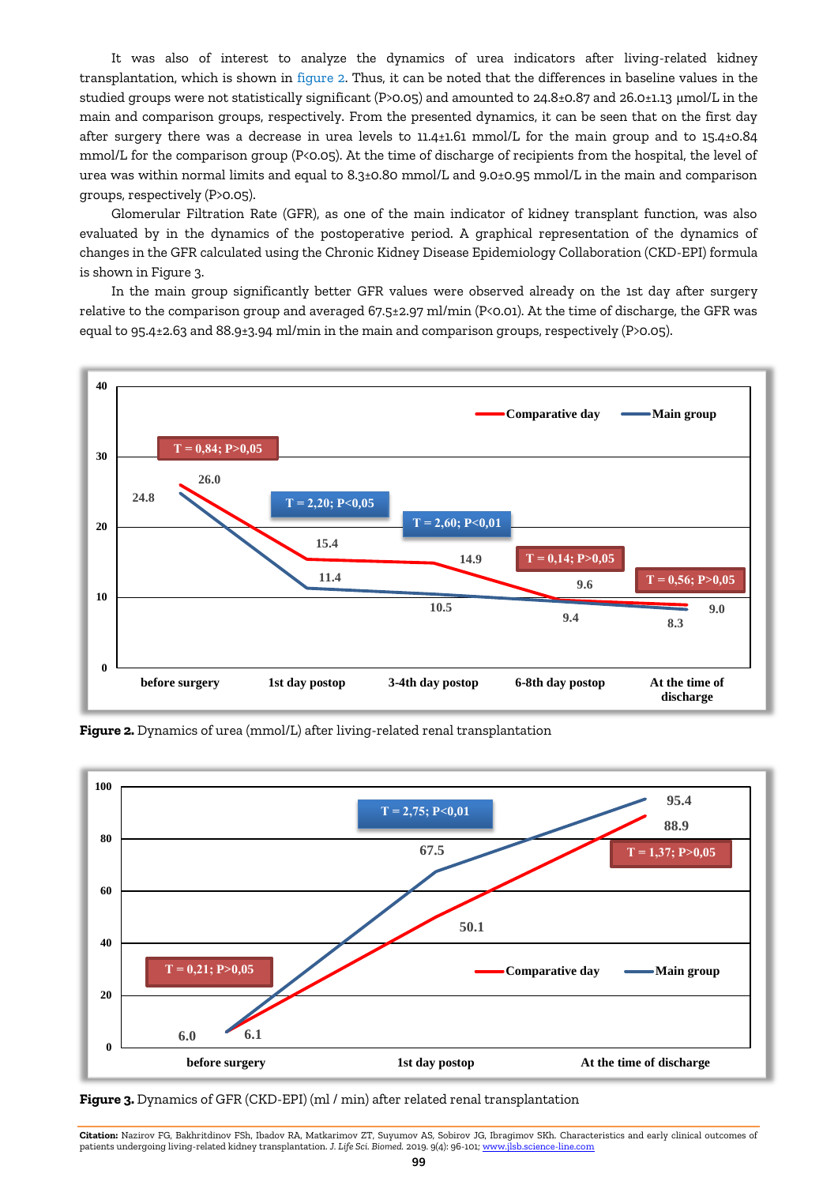It was also of interest to analyze the dynamics of urea indicators after living-related kidney transplantation, which is shown in figure 2. Thus, it can be noted that the differences in baseline values in the studied groups were not statistically significant (P>0.05) and amounted to 24.8±0.87 and 26.0±1.13 μmol/L in the main and comparison groups, respectively. From the presented dynamics, it can be seen that on the first day after surgery there was a decrease in urea levels to 11.4±1.61 mmol/L for the main group and to 15.4±0.84 mmol/L for the comparison group (P<0.05). At the time of discharge of recipients from the hospital, the level of urea was within normal limits and equal to 8.3±0.80 mmol/L and 9.0±0.95 mmol/L in the main and comparison groups, respectively (P>0.05).

Glomerular Filtration Rate (GFR), as one of the main indicator of kidney transplant function, was also evaluated by in the dynamics of the postoperative period. A graphical representation of the dynamics of changes in the GFR calculated using the Chronic Kidney Disease Epidemiology Collaboration (CKD-EPI) formula is shown in Figure 3.

In the main group significantly better GFR values were observed already on the 1st day after surgery relative to the comparison group and averaged 67.5±2.97 ml/min (P<0.01). At the time of discharge, the GFR was equal to 95.4±2.63 and 88.9±3.94 ml/min in the main and comparison groups, respectively (P>0.05).







**Figure 3.** Dynamics of GFR (CKD-EPI) (ml / min) after related renal transplantation

**Citation:** Nazirov FG, Bakhritdinov FSh, Ibadov RA, Matkarimov ZT, Suyumov AS, Sobirov JG, Ibragimov SKh. Characteristics and early clinical outcomes of patients undergoing living-related kidney transplantation. *J. Life Sci. Biomed.* 2019. 9(4): 96-101[; www.jlsb.science-line.com](http://www.jlsb.science-line.com/)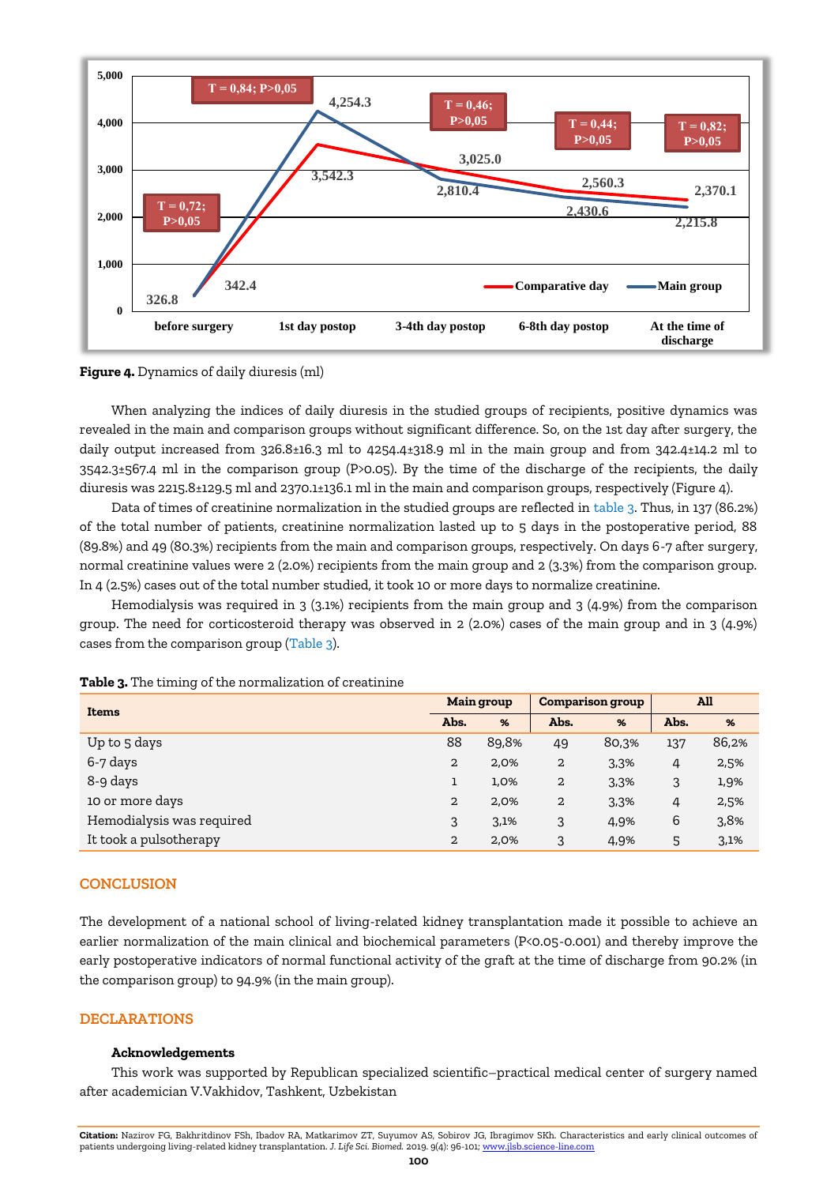



When analyzing the indices of daily diuresis in the studied groups of recipients, positive dynamics was revealed in the main and comparison groups without significant difference. So, on the 1st day after surgery, the daily output increased from 326.8±16.3 ml to 4254.4±318.9 ml in the main group and from 342.4±14.2 ml to 3542.3±567.4 ml in the comparison group (P>0.05). By the time of the discharge of the recipients, the daily diuresis was 2215.8±129.5 ml and 2370.1±136.1 ml in the main and comparison groups, respectively (Figure 4).

Data of times of creatinine normalization in the studied groups are reflected in table 3. Thus, in 137 (86.2%) of the total number of patients, creatinine normalization lasted up to 5 days in the postoperative period, 88 (89.8%) and 49 (80.3%) recipients from the main and comparison groups, respectively. On days 6-7 after surgery, normal creatinine values were 2 (2.0%) recipients from the main group and 2 (3.3%) from the comparison group. In 4 (2.5%) cases out of the total number studied, it took 10 or more days to normalize creatinine.

Hemodialysis was required in 3 (3.1%) recipients from the main group and 3 (4.9%) from the comparison group. The need for corticosteroid therapy was observed in 2 (2.0%) cases of the main group and in 3 (4.9%) cases from the comparison group (Table 3).

| <b>Items</b>              | <b>Main group</b> |       | <b>Comparison group</b> |                | All  |       |
|---------------------------|-------------------|-------|-------------------------|----------------|------|-------|
|                           | Abs.              | %     | Abs.                    | $\frac{96}{6}$ | Abs. | %     |
| Up to 5 days              | 88                | 89,8% | 49                      | 80,3%          | 137  | 86,2% |
| 6-7 days                  | $\overline{2}$    | 2,0%  | 2                       | 3,3%           | 4    | 2,5%  |
| 8-9 days                  |                   | 1,0%  | 2                       | 3,3%           | 3    | 1,9%  |
| 10 or more days           | $\overline{2}$    | 2,0%  | 2                       | 3,3%           | 4    | 2,5%  |
| Hemodialysis was required | 3                 | 3,1%  | 3                       | 4,9%           | 6    | 3,8%  |
| It took a pulsotherapy    | 2                 | 2,0%  | 3                       | 4,9%           | 5    | 3,1%  |

**Table 3.** The timing of the normalization of creatinine

# **CONCLUSION**

The development of a national school of living-related kidney transplantation made it possible to achieve an earlier normalization of the main clinical and biochemical parameters (P<0.05-0.001) and thereby improve the early postoperative indicators of normal functional activity of the graft at the time of discharge from 90.2% (in the comparison group) to 94.9% (in the main group).

# **DECLARATIONS**

# **Acknowledgements**

This work was supported by Republican specialized scientific–practical medical center of surgery named after academician V.Vakhidov, Tashkent, Uzbekistan